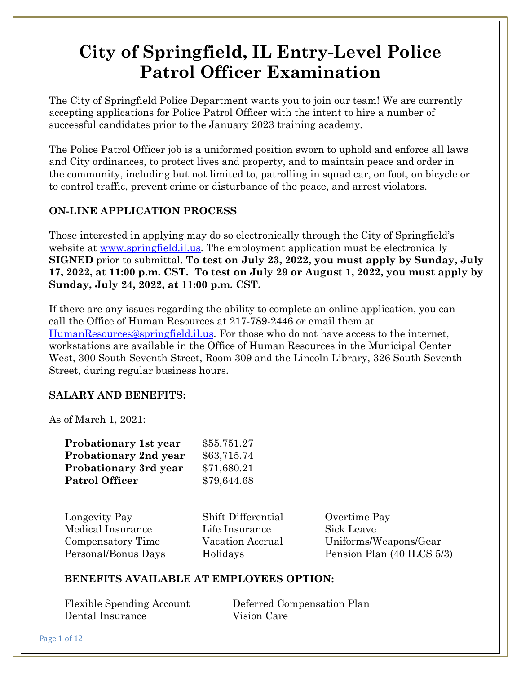# **City of Springfield, IL Entry-Level Police Patrol Officer Examination**

The City of Springfield Police Department wants you to join our team! We are currently accepting applications for Police Patrol Officer with the intent to hire a number of successful candidates prior to the January 2023 training academy.

The Police Patrol Officer job is a uniformed position sworn to uphold and enforce all laws and City ordinances, to protect lives and property, and to maintain peace and order in the community, including but not limited to, patrolling in squad car, on foot, on bicycle or to control traffic, prevent crime or disturbance of the peace, and arrest violators.

# **ON-LINE APPLICATION PROCESS**

Those interested in applying may do so electronically through the City of Springfield's website at <u>www.springfield.il.us</u>. The employment application must be electronically **SIGNED** prior to submittal. **To test on July 23, 2022, you must apply by Sunday, July 17, 2022, at 11:00 p.m. CST. To test on July 29 or August 1, 2022, you must apply by Sunday, July 24, 2022, at 11:00 p.m. CST.**

If there are any issues regarding the ability to complete an online application, you can call the Office of Human Resources at 217-789-2446 or email them at [HumanResources@springfield.il.us.](mailto:HumanResources@springfield.il.us) For those who do not have access to the internet, workstations are available in the Office of Human Resources in the Municipal Center West, 300 South Seventh Street, Room 309 and the Lincoln Library, 326 South Seventh Street, during regular business hours.

# **SALARY AND BENEFITS:**

As of March 1, 2021:

| Probationary 1st year        | \$55,751.27 |
|------------------------------|-------------|
| <b>Probationary 2nd year</b> | \$63,715.74 |
| <b>Probationary 3rd year</b> | \$71,680.21 |
| <b>Patrol Officer</b>        | \$79,644.68 |

Longevity Pay Shift Differential Overtime Pay Medical Insurance Life Insurance Sick Leave

Compensatory Time Vacation Accrual Uniforms/Weapons/Gear Personal/Bonus Days Holidays Pension Plan (40 ILCS 5/3)

## **BENEFITS AVAILABLE AT EMPLOYEES OPTION:**

| <b>Flexible Spending Account</b> | Deferred Compensation Plan |
|----------------------------------|----------------------------|
| Dental Insurance                 | Vision Care                |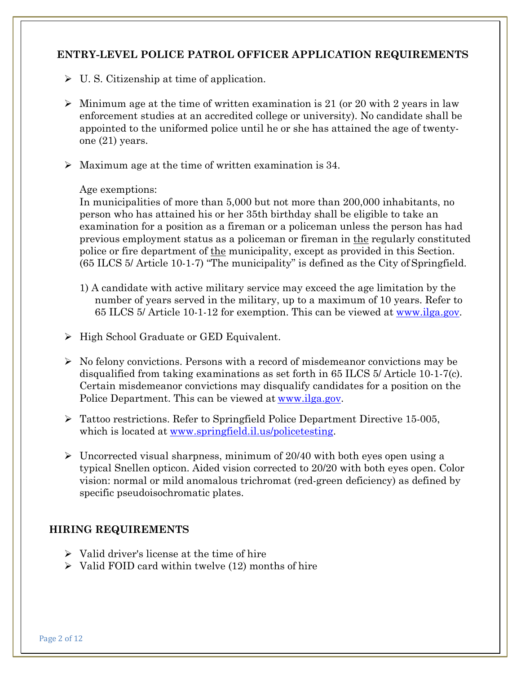#### **ENTRY-LEVEL POLICE PATROL OFFICER APPLICATION REQUIREMENTS**

- $\triangleright$  U.S. Citizenship at time of application.
- $\triangleright$  Minimum age at the time of written examination is 21 (or 20 with 2 years in law enforcement studies at an accredited college or university). No candidate shall be appointed to the uniformed police until he or she has attained the age of twentyone (21) years.
- $\triangleright$  Maximum age at the time of written examination is 34.

#### Age exemptions:

In municipalities of more than 5,000 but not more than 200,000 inhabitants, no person who has attained his or her 35th birthday shall be eligible to take an examination for a position as a fireman or a policeman unless the person has had previous employment status as a policeman or fireman in the regularly constituted police or fire department of the municipality, except as provided in this Section. (65 ILCS 5/ Article 10-1-7) "The municipality" is defined as the City of Springfield.

- 1) A candidate with active military service may exceed the age limitation by the number of years served in the military, up to a maximum of 10 years. Refer to 65 ILCS 5/ Article 10-1-12 for exemption. This can be viewed at [www.ilga.gov.](http://ilga.gov/legislation/ilcs/ilcs4.asp?DocName=006500050HArt%2E%2B10%2BDiv%2E%2B1&ActID=802&ChapterID=14&SeqStart=122600000&SeqEnd=128100000)
- $\triangleright$  High School Graduate or GED Equivalent.
- $\triangleright$  No felony convictions. Persons with a record of misdemeanor convictions may be disqualified from taking examinations as set forth in 65 ILCS 5/ Article 10-1-7(c). Certain misdemeanor convictions may disqualify candidates for a position on the Police Department. This can be viewed at [www.ilga.gov.](http://ilga.gov/legislation/ilcs/ilcs4.asp?DocName=006500050HArt%2E%2B10%2BDiv%2E%2B1&ActID=802&ChapterID=14&SeqStart=122600000&SeqEnd=128100000)
- Tattoo restrictions. Refer to Springfield Police Department Directive 15-005, which is located at [www.springfield.il.us/policetesting.](http://www.springfield.il.us/policetesting)
- $\geq$  Uncorrected visual sharpness, minimum of 20/40 with both eyes open using a typical Snellen opticon. Aided vision corrected to 20/20 with both eyes open. Color vision: normal or mild anomalous trichromat (red-green deficiency) as defined by specific pseudoisochromatic plates.

#### **HIRING REQUIREMENTS**

- $\triangleright$  Valid driver's license at the time of hire
- $\triangleright$  Valid FOID card within twelve (12) months of hire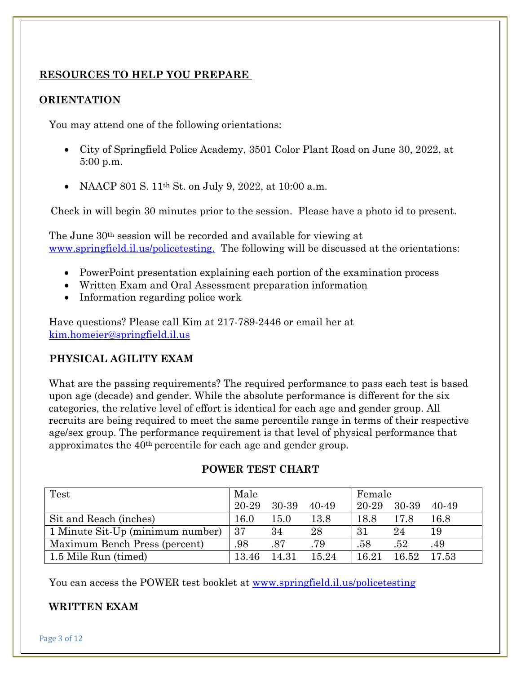## **RESOURCES TO HELP YOU PREPARE**

#### **ORIENTATION**

You may attend one of the following orientations:

- City of Springfield Police Academy, 3501 Color Plant Road on June 30, 2022, at 5:00 p.m.
- NAACP 801 S. 11<sup>th</sup> St. on July 9, 2022, at 10:00 a.m.

Check in will begin 30 minutes prior to the session. Please have a photo id to present.

The June 30th session will be recorded and available for viewing at [www.springfield.il.us/policetesting.](http://www.springfield.il.us/policetesting.) The following will be discussed at the orientations:

- PowerPoint presentation explaining each portion of the examination process
- Written Exam and Oral Assessment preparation information
- Information regarding police work

Have questions? Please call Kim at 217-789-2446 or email her at [kim.homeier@springfield.il.us](mailto:kim.homeier@springfield.il.us)

## **PHYSICAL AGILITY EXAM**

What are the passing requirements? The required performance to pass each test is based upon age (decade) and gender. While the absolute performance is different for the six categories, the relative level of effort is identical for each age and gender group. All recruits are being required to meet the same percentile range in terms of their respective age/sex group. The performance requirement is that level of physical performance that approximates the 40th percentile for each age and gender group.

| Test                             | Male  |       |       | Female      |       |       |
|----------------------------------|-------|-------|-------|-------------|-------|-------|
|                                  | 20-29 | 30-39 | 40-49 | 20-29 30-39 |       | 40-49 |
| Sit and Reach (inches)           | 16.0  | 15.0  | 13.8  | 18.8        | 17.8  | 16.8  |
| 1 Minute Sit-Up (minimum number) | 37    | 34    | 28    | 31          | 24    | 19    |
| Maximum Bench Press (percent)    | .98   | .87   | .79   | .58         | .52   | .49   |
| 1.5 Mile Run (timed)             | 13.46 | 14.31 | 15.24 | 16.21       | 16.52 | 17.53 |

## **POWER TEST CHART**

You can access the POWER test booklet at [www.springfield.il.us/policetesting](http://www.springfield.il.us/policetesting)

#### **WRITTEN EXAM**

Page 3 of 12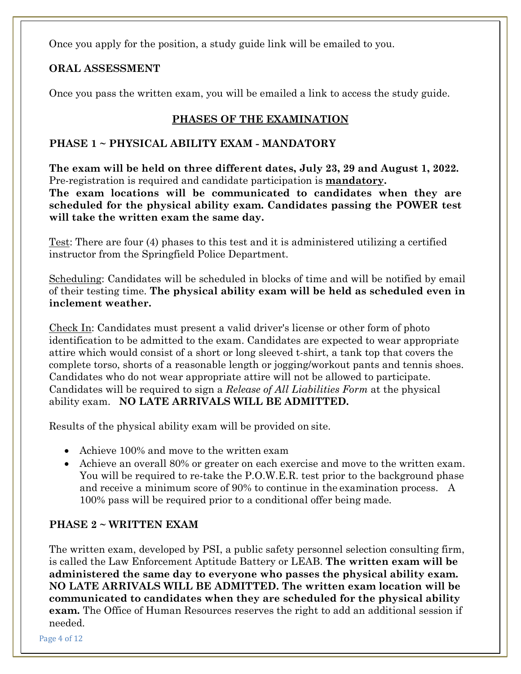Once you apply for the position, a study guide link will be emailed to you.

# **ORAL ASSESSMENT**

Once you pass the written exam, you will be emailed a link to access the study guide.

# **PHASES OF THE EXAMINATION**

## **PHASE 1 ~ PHYSICAL ABILITY EXAM - MANDATORY**

**The exam will be held on three different dates, July 23, 29 and August 1, 2022.**  Pre-registration is required and candidate participation is **mandatory. The exam locations will be communicated to candidates when they are** 

**scheduled for the physical ability exam. Candidates passing the POWER test will take the written exam the same day.**

Test: There are four (4) phases to this test and it is administered utilizing a certified instructor from the Springfield Police Department.

Scheduling: Candidates will be scheduled in blocks of time and will be notified by email of their testing time. **The physical ability exam will be held as scheduled even in inclement weather.**

Check In: Candidates must present a valid driver's license or other form of photo identification to be admitted to the exam. Candidates are expected to wear appropriate attire which would consist of a short or long sleeved t-shirt, a tank top that covers the complete torso, shorts of a reasonable length or jogging/workout pants and tennis shoes. Candidates who do not wear appropriate attire will not be allowed to participate. Candidates will be required to sign a *Release of All Liabilities Form* at the physical ability exam. **NO LATE ARRIVALS WILL BE ADMITTED.**

Results of the physical ability exam will be provided on site.

- Achieve 100% and move to the written exam
- Achieve an overall 80% or greater on each exercise and move to the written exam. You will be required to re-take the P.O.W.E.R. test prior to the background phase and receive a minimum score of 90% to continue in the examination process. A 100% pass will be required prior to a conditional offer being made.

# **PHASE 2 ~ WRITTEN EXAM**

The written exam, developed by PSI, a public safety personnel selection consulting firm, is called the Law Enforcement Aptitude Battery or LEAB. **The written exam will be administered the same day to everyone who passes the physical ability exam. NO LATE ARRIVALS WILL BE ADMITTED. The written exam location will be communicated to candidates when they are scheduled for the physical ability exam.** The Office of Human Resources reserves the right to add an additional session if needed.

Page 4 of 12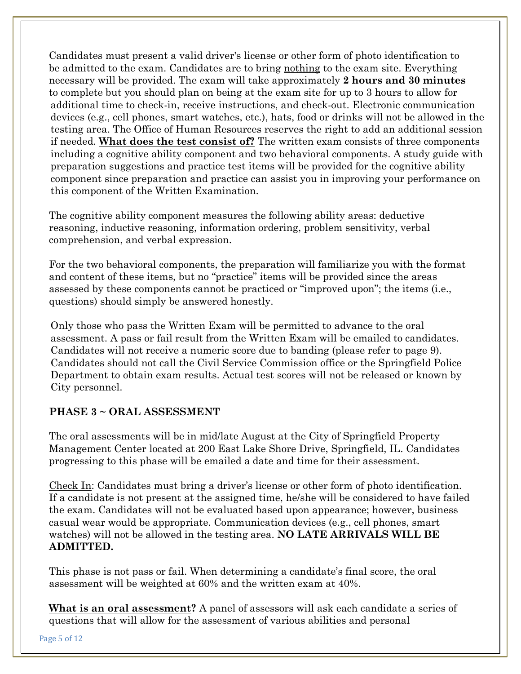Candidates must present a valid driver's license or other form of photo identification to be admitted to the exam. Candidates are to bring nothing to the exam site. Everything necessary will be provided. The exam will take approximately **2 hours and 30 minutes**  to complete but you should plan on being at the exam site for up to 3 hours to allow for additional time to check-in, receive instructions, and check-out. Electronic communication devices (e.g., cell phones, smart watches, etc.), hats, food or drinks will not be allowed in the testing area. The Office of Human Resources reserves the right to add an additional session if needed. **What does the test consist of?** The written exam consists of three components including a cognitive ability component and two behavioral components. A study guide with preparation suggestions and practice test items will be provided for the cognitive ability component since preparation and practice can assist you in improving your performance on this component of the Written Examination.

The cognitive ability component measures the following ability areas: deductive reasoning, inductive reasoning, information ordering, problem sensitivity, verbal comprehension, and verbal expression.

For the two behavioral components, the preparation will familiarize you with the format and content of these items, but no "practice" items will be provided since the areas assessed by these components cannot be practiced or "improved upon"; the items (i.e., questions) should simply be answered honestly.

Only those who pass the Written Exam will be permitted to advance to the oral assessment. A pass or fail result from the Written Exam will be emailed to candidates. Candidates will not receive a numeric score due to banding (please refer to page 9). Candidates should not call the Civil Service Commission office or the Springfield Police Department to obtain exam results. Actual test scores will not be released or known by City personnel.

# **PHASE 3 ~ ORAL ASSESSMENT**

The oral assessments will be in mid/late August at the City of Springfield Property Management Center located at 200 East Lake Shore Drive, Springfield, IL. Candidates progressing to this phase will be emailed a date and time for their assessment.

Check In: Candidates must bring a driver's license or other form of photo identification. If a candidate is not present at the assigned time, he/she will be considered to have failed the exam. Candidates will not be evaluated based upon appearance; however, business casual wear would be appropriate. Communication devices (e.g., cell phones, smart watches) will not be allowed in the testing area. **NO LATE ARRIVALS WILL BE ADMITTED.**

This phase is not pass or fail. When determining a candidate's final score, the oral assessment will be weighted at 60% and the written exam at 40%.

**What is an oral assessment?** A panel of assessors will ask each candidate a series of questions that will allow for the assessment of various abilities and personal

Page 5 of 12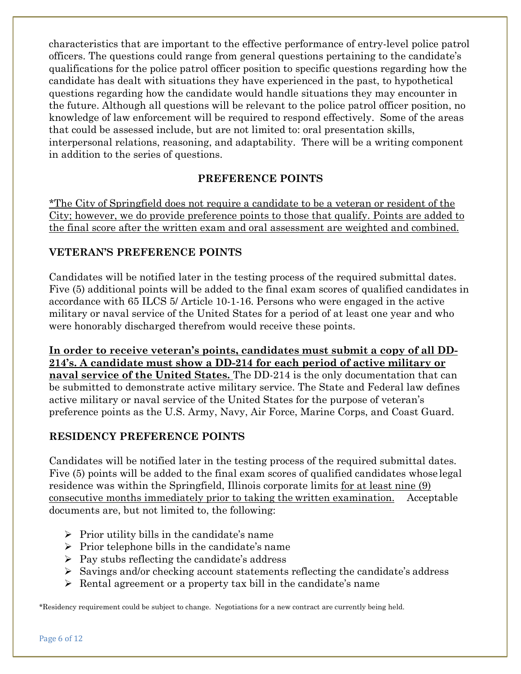characteristics that are important to the effective performance of entry-level police patrol officers. The questions could range from general questions pertaining to the candidate's qualifications for the police patrol officer position to specific questions regarding how the candidate has dealt with situations they have experienced in the past, to hypothetical questions regarding how the candidate would handle situations they may encounter in the future. Although all questions will be relevant to the police patrol officer position, no knowledge of law enforcement will be required to respond effectively. Some of the areas that could be assessed include, but are not limited to: oral presentation skills, interpersonal relations, reasoning, and adaptability. There will be a writing component in addition to the series of questions.

## **PREFERENCE POINTS**

\*The City of Springfield does not require a candidate to be a veteran or resident of the City; however, we do provide preference points to those that qualify. Points are added to the final score after the written exam and oral assessment are weighted and combined.

## **VETERAN'S PREFERENCE POINTS**

Candidates will be notified later in the testing process of the required submittal dates. Five (5) additional points will be added to the final exam scores of qualified candidates in accordance with 65 ILCS 5/ Article 10-1-16. Persons who were engaged in the active military or naval service of the United States for a period of at least one year and who were honorably discharged therefrom would receive these points.

**In order to receive veteran's points, candidates must submit a copy of all DD-214's. A candidate must show a DD-214 for each period of active military or naval service of the United States.** The DD-214 is the only documentation that can be submitted to demonstrate active military service. The State and Federal law defines active military or naval service of the United States for the purpose of veteran's preference points as the U.S. Army, Navy, Air Force, Marine Corps, and Coast Guard.

## **RESIDENCY PREFERENCE POINTS**

Candidates will be notified later in the testing process of the required submittal dates. Five (5) points will be added to the final exam scores of qualified candidates whose legal residence was within the Springfield, Illinois corporate limits <u>for at least nine (9)</u> consecutive months immediately prior to taking the written examination. Acceptable documents are, but not limited to, the following:

- $\triangleright$  Prior utility bills in the candidate's name
- $\triangleright$  Prior telephone bills in the candidate's name
- $\triangleright$  Pay stubs reflecting the candidate's address
- $\triangleright$  Savings and/or checking account statements reflecting the candidate's address
- $\triangleright$  Rental agreement or a property tax bill in the candidate's name

\*Residency requirement could be subject to change. Negotiations for a new contract are currently being held.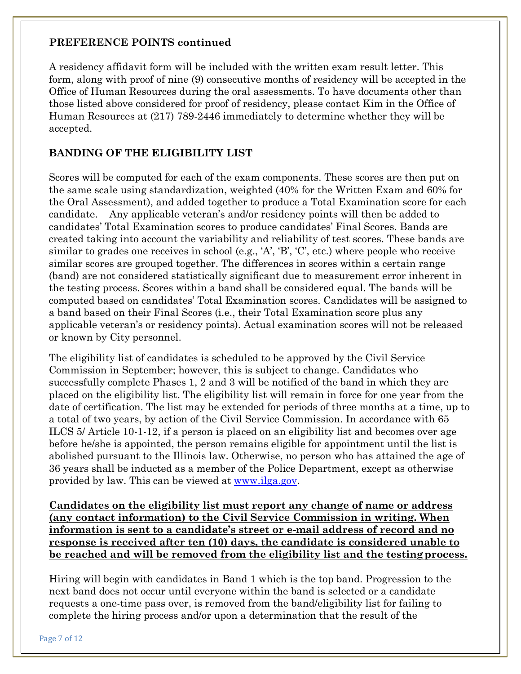#### **PREFERENCE POINTS continued**

A residency affidavit form will be included with the written exam result letter. This form, along with proof of nine (9) consecutive months of residency will be accepted in the Office of Human Resources during the oral assessments. To have documents other than those listed above considered for proof of residency, please contact Kim in the Office of Human Resources at (217) 789-2446 immediately to determine whether they will be accepted.

# **BANDING OF THE ELIGIBILITY LIST**

Scores will be computed for each of the exam components. These scores are then put on the same scale using standardization, weighted (40% for the Written Exam and 60% for the Oral Assessment), and added together to produce a Total Examination score for each candidate. Any applicable veteran's and/or residency points will then be added to candidates' Total Examination scores to produce candidates' Final Scores. Bands are created taking into account the variability and reliability of test scores. These bands are similar to grades one receives in school (e.g., 'A', 'B', 'C', etc.) where people who receive similar scores are grouped together. The differences in scores within a certain range (band) are not considered statistically significant due to measurement error inherent in the testing process. Scores within a band shall be considered equal. The bands will be computed based on candidates' Total Examination scores. Candidates will be assigned to a band based on their Final Scores (i.e., their Total Examination score plus any applicable veteran's or residency points). Actual examination scores will not be released or known by City personnel.

The eligibility list of candidates is scheduled to be approved by the Civil Service Commission in September; however, this is subject to change. Candidates who successfully complete Phases 1, 2 and 3 will be notified of the band in which they are placed on the eligibility list. The eligibility list will remain in force for one year from the date of certification. The list may be extended for periods of three months at a time, up to a total of two years, by action of the Civil Service Commission. In accordance with 65 ILCS 5/ Article 10-1-12, if a person is placed on an eligibility list and becomes over age before he/she is appointed, the person remains eligible for appointment until the list is abolished pursuant to the Illinois law. Otherwise, no person who has attained the age of 36 years shall be inducted as a member of the Police Department, except as otherwise provided by law. This can be viewed at <u>www.ilga.gov</u>.

**Candidates on the eligibility list must report any change of name or address (any contact information) to the Civil Service Commission in writing. When information is sent to a candidate's street or e-mail address of record and no response is received after ten (10) days, the candidate is considered unable to be reached and will be removed from the eligibility list and the testingprocess.**

Hiring will begin with candidates in Band 1 which is the top band. Progression to the next band does not occur until everyone within the band is selected or a candidate requests a one-time pass over, is removed from the band/eligibility list for failing to complete the hiring process and/or upon a determination that the result of the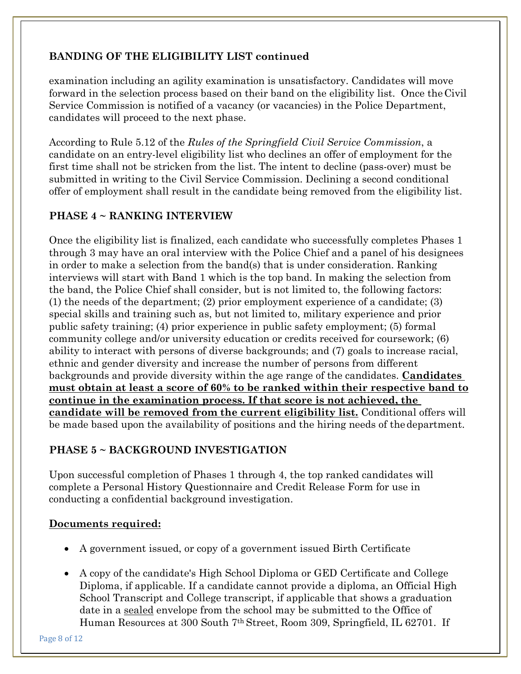# **BANDING OF THE ELIGIBILITY LIST continued**

examination including an agility examination is unsatisfactory. Candidates will move forward in the selection process based on their band on the eligibility list. Once theCivil Service Commission is notified of a vacancy (or vacancies) in the Police Department, candidates will proceed to the next phase.

According to Rule 5.12 of the *Rules of the Springfield Civil Service Commission*, a candidate on an entry-level eligibility list who declines an offer of employment for the first time shall not be stricken from the list. The intent to decline (pass-over) must be submitted in writing to the Civil Service Commission. Declining a second conditional offer of employment shall result in the candidate being removed from the eligibility list.

## **PHASE 4 ~ RANKING INTERVIEW**

Once the eligibility list is finalized, each candidate who successfully completes Phases 1 through 3 may have an oral interview with the Police Chief and a panel of his designees in order to make a selection from the band(s) that is under consideration. Ranking interviews will start with Band 1 which is the top band. In making the selection from the band, the Police Chief shall consider, but is not limited to, the following factors: (1) the needs of the department; (2) prior employment experience of a candidate; (3) special skills and training such as, but not limited to, military experience and prior public safety training; (4) prior experience in public safety employment; (5) formal community college and/or university education or credits received for coursework; (6) ability to interact with persons of diverse backgrounds; and (7) goals to increase racial, ethnic and gender diversity and increase the number of persons from different backgrounds and provide diversity within the age range of the candidates. **Candidates must obtain at least a score of 60% to be ranked within their respective band to continue in the examination process. If that score is not achieved, the candidate will be removed from the current eligibility list.** Conditional offers will be made based upon the availability of positions and the hiring needs of thedepartment.

# **PHASE 5 ~ BACKGROUND INVESTIGATION**

Upon successful completion of Phases 1 through 4, the top ranked candidates will complete a Personal History Questionnaire and Credit Release Form for use in conducting a confidential background investigation.

## **Documents required:**

- A government issued, or copy of a government issued Birth Certificate
- A copy of the candidate's High School Diploma or GED Certificate and College Diploma, if applicable. If a candidate cannot provide a diploma, an Official High School Transcript and College transcript, if applicable that shows a graduation date in a sealed envelope from the school may be submitted to the Office of Human Resources at 300 South 7th Street, Room 309, Springfield, IL 62701. If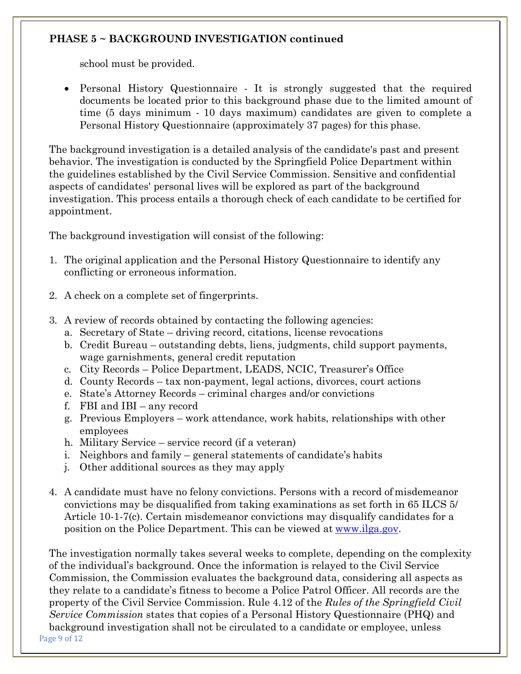## **PHASE 5 ~ BACKGROUND INVESTIGATION continued**

school must be provided.

• Personal History Questionnaire - It is strongly suggested that the required documents be located prior to this background phase due to the limited amount of time (5 days minimum - 10 days maximum) candidates are given to complete a Personal History Questionnaire (approximately 37 pages) for this phase.

The background investigation is a detailed analysis of the candidate's past and present behavior. The investigation is conducted by the Springfield Police Department within the guidelines established by the Civil Service Commission. Sensitive and confidential aspects of candidates' personal lives will be explored as part of the background investigation. This process entails a thorough check of each candidate to be certified for appointment.

The background investigation will consist of the following:

- 1. The original application and the Personal History Questionnaire to identify any conflicting or erroneous information.
- 2. A check on a complete set of fingerprints.
- 3. A review of records obtained by contacting the following agencies:
	- a. Secretary of State driving record, citations, license revocations
	- b. Credit Bureau outstanding debts, liens, judgments, child support payments, wage garnishments, general credit reputation
	- c. City Records Police Department, LEADS, NCIC, Treasurer's Office
	- d. County Records tax non-payment, legal actions, divorces, court actions
	- e. State's Attorney Records criminal charges and/or convictions
	- f. FBI and IBI any record
	- g. Previous Employers work attendance, work habits, relationships with other employees
	- h. Military Service service record (if a veteran)
	- i. Neighbors and family general statements of candidate's habits
	- j. Other additional sources as they may apply
- 4. A candidate must have no felony convictions. Persons with a record of misdemeanor convictions may be disqualified from taking examinations as set forth in 65 ILCS 5/ Article 10-1-7(c). Certain misdemeanor convictions may disqualify candidates for a position on the Police Department. This can be viewed at [www.ilga.gov.](http://ilga.gov/legislation/ilcs/ilcs4.asp?DocName=006500050HArt%2E%2B10%2BDiv%2E%2B1&ActID=802&ChapterID=14&SeqStart=122600000&SeqEnd=128100000)

Page 9 of 12 The investigation normally takes several weeks to complete, depending on the complexity of the individual's background. Once the information is relayed to the Civil Service Commission, the Commission evaluates the background data, considering all aspects as they relate to a candidate's fitness to become a Police Patrol Officer. All records are the property of the Civil Service Commission. Rule 4.12 of the *Rules of the Springfield Civil Service Commission* states that copies of a Personal History Questionnaire (PHQ) and background investigation shall not be circulated to a candidate or employee, unless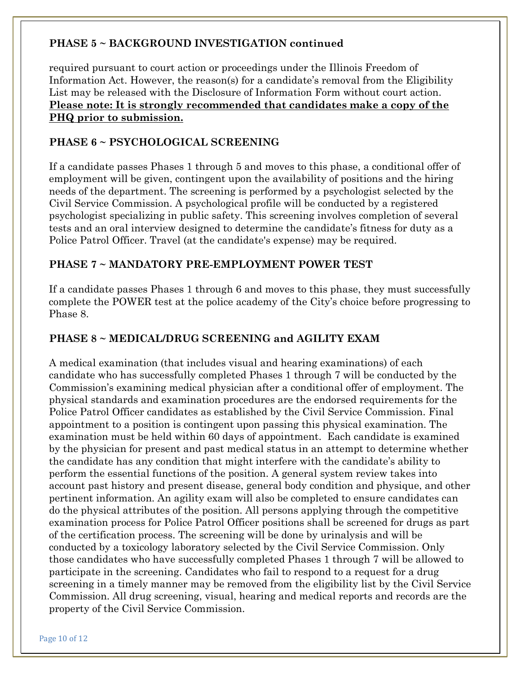## **PHASE 5 ~ BACKGROUND INVESTIGATION continued**

required pursuant to court action or proceedings under the Illinois Freedom of Information Act. However, the reason(s) for a candidate's removal from the Eligibility List may be released with the Disclosure of Information Form without court action. **Please note: It is strongly recommended that candidates make a copy of the PHQ prior to submission.**

## **PHASE 6 ~ PSYCHOLOGICAL SCREENING**

If a candidate passes Phases 1 through 5 and moves to this phase, a conditional offer of employment will be given, contingent upon the availability of positions and the hiring needs of the department. The screening is performed by a psychologist selected by the Civil Service Commission. A psychological profile will be conducted by a registered psychologist specializing in public safety. This screening involves completion of several tests and an oral interview designed to determine the candidate's fitness for duty as a Police Patrol Officer. Travel (at the candidate's expense) may be required.

#### **PHASE 7 ~ MANDATORY PRE-EMPLOYMENT POWER TEST**

If a candidate passes Phases 1 through 6 and moves to this phase, they must successfully complete the POWER test at the police academy of the City's choice before progressing to Phase 8.

## **PHASE 8 ~ MEDICAL/DRUG SCREENING and AGILITY EXAM**

A medical examination (that includes visual and hearing examinations) of each candidate who has successfully completed Phases 1 through 7 will be conducted by the Commission's examining medical physician after a conditional offer of employment. The physical standards and examination procedures are the endorsed requirements for the Police Patrol Officer candidates as established by the Civil Service Commission. Final appointment to a position is contingent upon passing this physical examination. The examination must be held within 60 days of appointment. Each candidate is examined by the physician for present and past medical status in an attempt to determine whether the candidate has any condition that might interfere with the candidate's ability to perform the essential functions of the position. A general system review takes into account past history and present disease, general body condition and physique, and other pertinent information. An agility exam will also be completed to ensure candidates can do the physical attributes of the position. All persons applying through the competitive examination process for Police Patrol Officer positions shall be screened for drugs as part of the certification process. The screening will be done by urinalysis and will be conducted by a toxicology laboratory selected by the Civil Service Commission. Only those candidates who have successfully completed Phases 1 through 7 will be allowed to participate in the screening. Candidates who fail to respond to a request for a drug screening in a timely manner may be removed from the eligibility list by the Civil Service Commission. All drug screening, visual, hearing and medical reports and records are the property of the Civil Service Commission.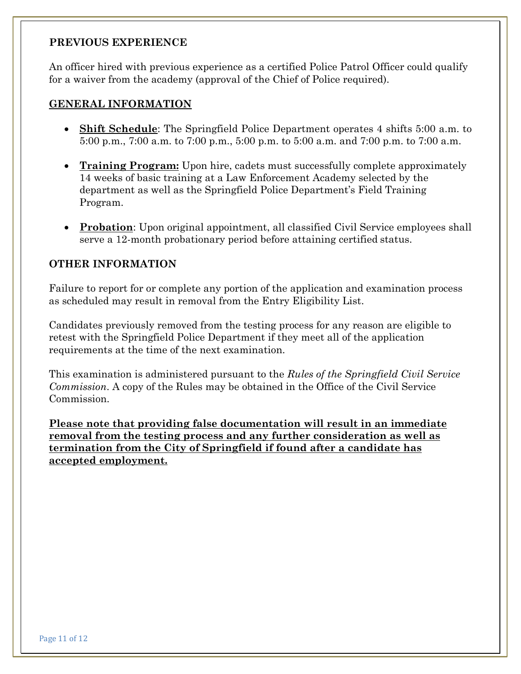#### **PREVIOUS EXPERIENCE**

An officer hired with previous experience as a certified Police Patrol Officer could qualify for a waiver from the academy (approval of the Chief of Police required).

#### **GENERAL INFORMATION**

- **Shift Schedule**: The Springfield Police Department operates 4 shifts 5:00 a.m. to 5:00 p.m., 7:00 a.m. to 7:00 p.m., 5:00 p.m. to 5:00 a.m. and 7:00 p.m. to 7:00 a.m.
- **Training Program:** Upon hire, cadets must successfully complete approximately 14 weeks of basic training at a Law Enforcement Academy selected by the department as well as the Springfield Police Department's Field Training Program.
- **Probation**: Upon original appointment, all classified Civil Service employees shall serve a 12-month probationary period before attaining certified status.

## **OTHER INFORMATION**

Failure to report for or complete any portion of the application and examination process as scheduled may result in removal from the Entry Eligibility List.

Candidates previously removed from the testing process for any reason are eligible to retest with the Springfield Police Department if they meet all of the application requirements at the time of the next examination.

This examination is administered pursuant to the *Rules of the Springfield Civil Service Commission*. A copy of the Rules may be obtained in the Office of the Civil Service Commission.

**Please note that providing false documentation will result in an immediate removal from the testing process and any further consideration as well as termination from the City of Springfield if found after a candidate has accepted employment.**